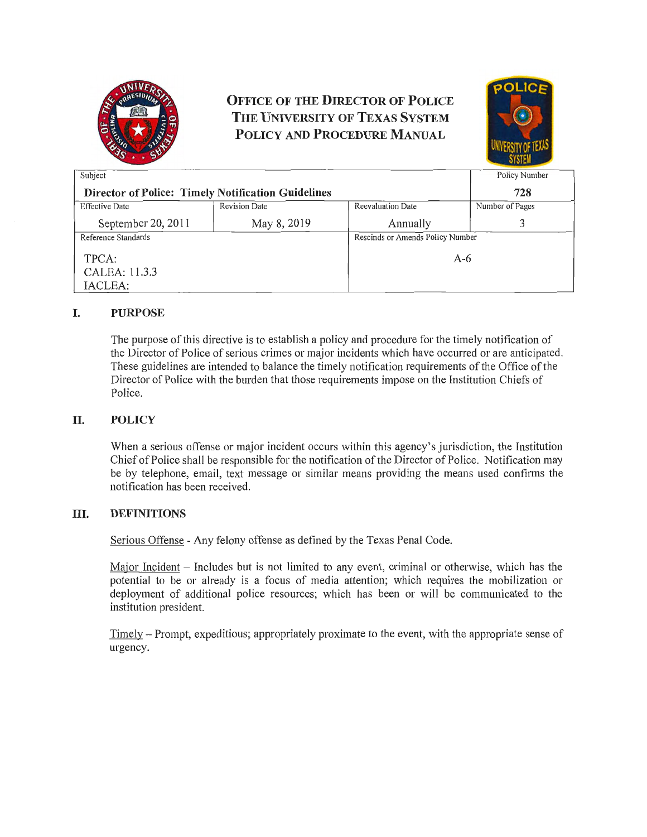

**OFFICE OF THE DIRECTOR OF POLICE THE UNIVERSITY OF TEXAS SYSTEM POLICY AND PROCEDURE MANUAL** 



| Subject                                                   |                      |                          | Policy Number                    |  |
|-----------------------------------------------------------|----------------------|--------------------------|----------------------------------|--|
| <b>Director of Police: Timely Notification Guidelines</b> |                      |                          | 728                              |  |
| <b>Effective Date</b>                                     | <b>Revision Date</b> | <b>Reevaluation Date</b> | Number of Pages                  |  |
| September 20, 2011                                        | May 8, 2019          | Annually                 |                                  |  |
| Reference Standards                                       |                      |                          | Rescinds or Amends Policy Number |  |
| TPCA:                                                     |                      |                          | A-6                              |  |
| CALEA: 11.3.3                                             |                      |                          |                                  |  |
| IACLEA:                                                   |                      |                          |                                  |  |

# **I. PURPOSE**

The purpose of this directive is to establish a policy and procedure for the timely notification of the Director of Police of serious crimes or major incidents which have occurred or are anticipated. These guidelines are intended to balance the timely notification requirements of the Office of the Director of Police with the burden that those requirements impose on the Institution Chiefs of Police.

### **II. POLICY**

When a serious offense or major incident occurs within this agency's jurisdiction, the Institution Chief of Police shall be responsible for the notification of the Director of Police. Notification may be by telephone, email, text message or similar means providing the means used confirms the notification has been received.

#### **III. DEFINITIONS**

Serious Offense - Any felony offense as defined by the Texas Penal Code.

Major Incident - Includes but is not limited to any event, criminal or otherwise, which has the potential to be or already is a focus of media attention; which requires the mobilization or deployment of additional police resources; which has been or will be communicated to the institution president.

Timely - Prompt, expeditious; appropriately proximate to the event, with the appropriate sense of urgency.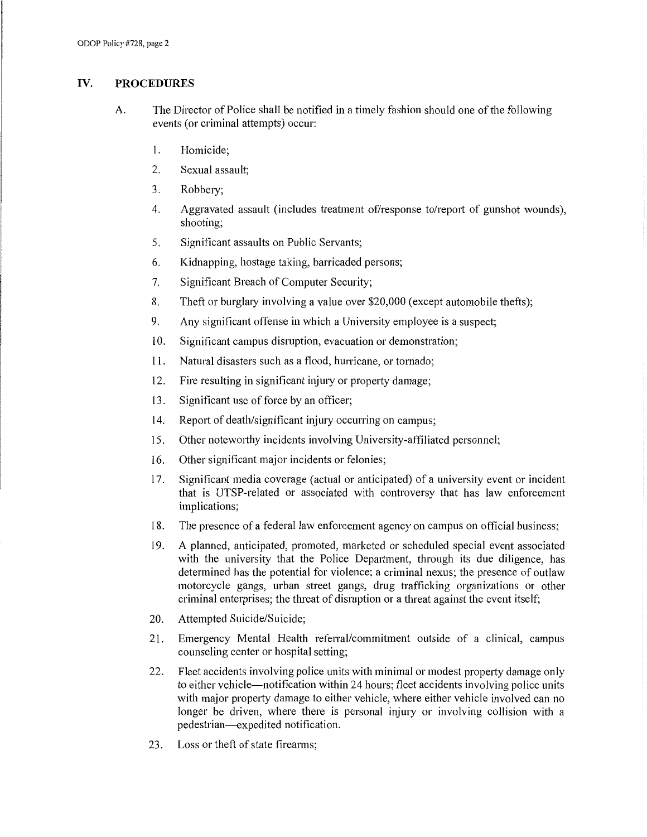## **IV. PROCEDURES**

- A. The Director of Police shall be notified in a timely fashion should one of the following events ( or criminal attempts) occur:
	- 1. Homicide;
	- 2. Sexual assault;
	- 3. Robbery;
	- 4. Aggravated assault (includes treatment of/response to/report of gunshot wounds), shooting;
	- 5. Significant assaults on Public Servants;
	- 6. Kidnapping, hostage taking, barricaded persons;
	- 7. Significant Breach of Computer Security;
	- 8. Theft or burglary involving a value over \$20,000 (except automobile thefts);
	- 9. Any significant offense in which a University employee is a suspect;
	- 10. Significant campus disruption, evacuation or demonstration;
	- 11. Natural disasters such as a flood, hurricane, or tornado;
	- 12. Fire resulting in significant injury or property damage;
	- 13. Significant use of force by an officer;
	- 14. Report of death/significant injury occurring on campus;
	- 15. Other notewotihy incidents involving University-affiliated personnel;
	- 16. Other significant major incidents or felonies;
	- 17. Significant media coverage (actual or anticipated) of a university event or incident that is UTSP-related or associated with controversy that has law enforcement implications;
	- 18. The presence of a federal law enforcement agency on campus on official business;
	- 19. A planned, anticipated, promoted, marketed or scheduled special event associated with the university that the Police Department, through its due diligence, has determined has the potential for violence; a criminal nexus; the presence of outlaw motorcycle gangs, urban street gangs, drug trafficking organizations or other criminal enterprises; the threat of disruption or a threat against the event itself;
	- 20. Attempted Suicide/Suicide;
	- 21. Emergency Mental Health referral/commitment outside of a clinical, campus counseling center or hospital setting;
	- 22. Fleet accidents involving police units with minimal or modest propetiy damage only to either vehicle-notification within 24 hours; fleet accidents involving police units with major property damage to either vehicle, where either vehicle involved can no longer be driven, where there is personal injury or involving collision with a pedestrian-expedited notification.
	- 23. Loss or theft of state firearms;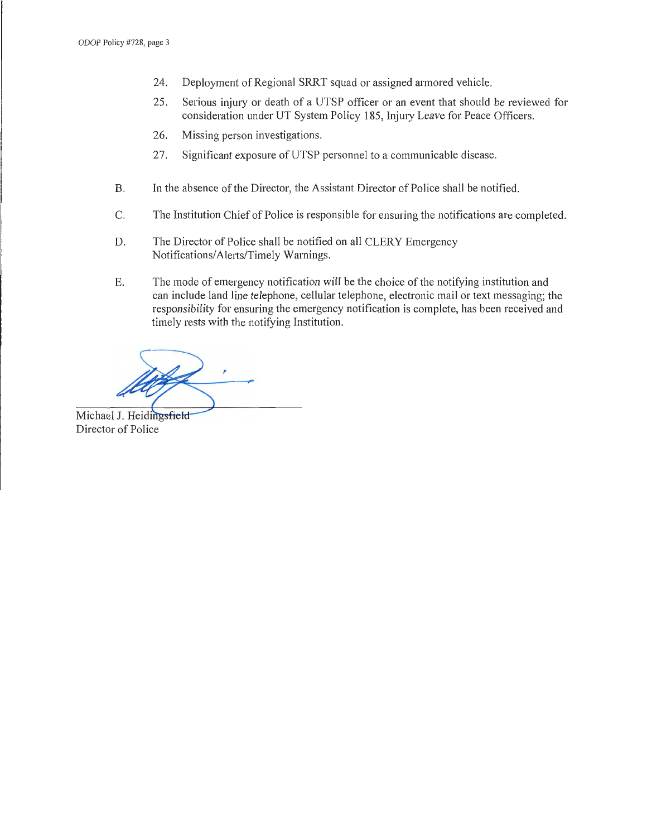- 24. Deployment of Regional SRRT squad or assigned armored vehicle.
- 25 . Serious injury or death of a UTSP officer or an event that should be reviewed for consideration under UT System Policy 185, Injury Leave for Peace Officers.
- 26. Missing person investigations.
- 27. Significant exposure of UTSP personnel to a communicable disease.
- B. In the absence of the Director, the Assistant Director of Police shall be notified.
- C. The Institution Chief of Police is responsible for ensuring the notifications are completed.
- D. The Director of Police shall be notified on all CLERY Emergency Notifications/Alerts/Timely Warnings.
- E. The mode of emergency notification will be the choice of the notifying institution and can include land line telephone, cellular telephone, electronic mail or text messaging; the responsibility for ensuring the emergency notification is complete, has been received and timely rests with the notifying Institution.

,-

Michael J. Heidingsfield Director of Police